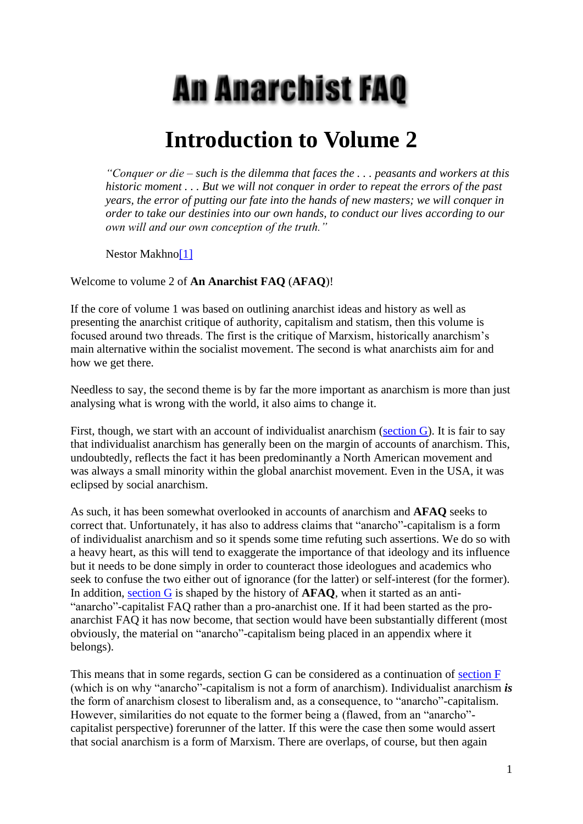## **An Anarchist FAQ**

## **Introduction to Volume 2**

*"Conquer or die – such is the dilemma that faces the . . . peasants and workers at this historic moment . . . But we will not conquer in order to repeat the errors of the past years, the error of putting our fate into the hands of new masters; we will conquer in order to take our destinies into our own hands, to conduct our lives according to our own will and our own conception of the truth."*

<span id="page-0-0"></span>Nestor Makhno<sup>[1]</sup>

## Welcome to volume 2 of **An Anarchist FAQ** (**AFAQ**)!

If the core of volume 1 was based on outlining anarchist ideas and history as well as presenting the anarchist critique of authority, capitalism and statism, then this volume is focused around two threads. The first is the critique of Marxism, historically anarchism's main alternative within the socialist movement. The second is what anarchists aim for and how we get there.

Needless to say, the second theme is by far the more important as anarchism is more than just analysing what is wrong with the world, it also aims to change it.

First, though, we start with an account of individualist anarchism [\(section G\)](sectionG.html). It is fair to say that individualist anarchism has generally been on the margin of accounts of anarchism. This, undoubtedly, reflects the fact it has been predominantly a North American movement and was always a small minority within the global anarchist movement. Even in the USA, it was eclipsed by social anarchism.

As such, it has been somewhat overlooked in accounts of anarchism and **AFAQ** seeks to correct that. Unfortunately, it has also to address claims that "anarcho"-capitalism is a form of individualist anarchism and so it spends some time refuting such assertions. We do so with a heavy heart, as this will tend to exaggerate the importance of that ideology and its influence but it needs to be done simply in order to counteract those ideologues and academics who seek to confuse the two either out of ignorance (for the latter) or self-interest (for the former). In addition, [section G](sectionG.html) is shaped by the history of **AFAQ**, when it started as an anti- "anarcho"-capitalist FAQ rather than a pro-anarchist one. If it had been started as the proanarchist FAQ it has now become, that section would have been substantially different (most obviously, the material on "anarcho"-capitalism being placed in an appendix where it belongs).

This means that in some regards, section G can be considered as a continuation of [section F](sectionF.html) (which is on why "anarcho"-capitalism is not a form of anarchism). Individualist anarchism *is* the form of anarchism closest to liberalism and, as a consequence, to "anarcho"-capitalism. However, similarities do not equate to the former being a (flawed, from an "anarcho" capitalist perspective) forerunner of the latter. If this were the case then some would assert that social anarchism is a form of Marxism. There are overlaps, of course, but then again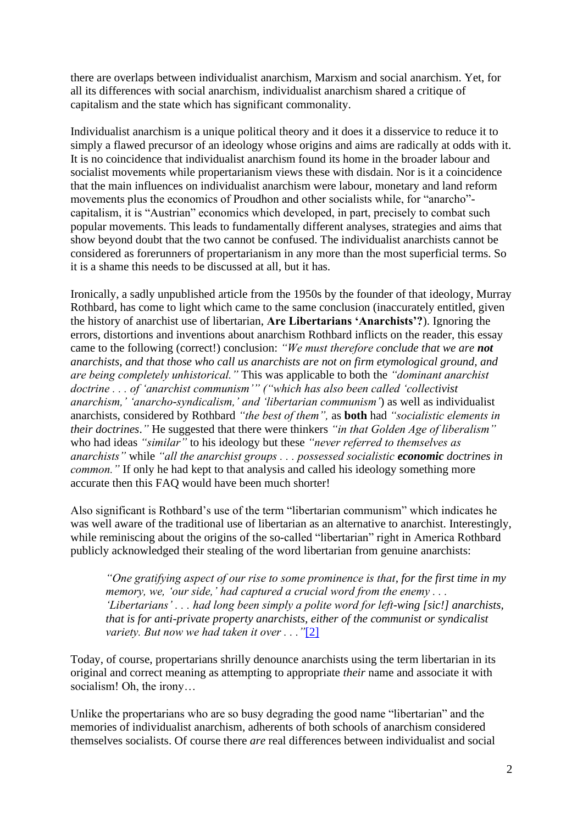there are overlaps between individualist anarchism, Marxism and social anarchism. Yet, for all its differences with social anarchism, individualist anarchism shared a critique of capitalism and the state which has significant commonality.

Individualist anarchism is a unique political theory and it does it a disservice to reduce it to simply a flawed precursor of an ideology whose origins and aims are radically at odds with it. It is no coincidence that individualist anarchism found its home in the broader labour and socialist movements while propertarianism views these with disdain. Nor is it a coincidence that the main influences on individualist anarchism were labour, monetary and land reform movements plus the economics of Proudhon and other socialists while, for "anarcho" capitalism, it is "Austrian" economics which developed, in part, precisely to combat such popular movements. This leads to fundamentally different analyses, strategies and aims that show beyond doubt that the two cannot be confused. The individualist anarchists cannot be considered as forerunners of propertarianism in any more than the most superficial terms. So it is a shame this needs to be discussed at all, but it has.

Ironically, a sadly unpublished article from the 1950s by the founder of that ideology, Murray Rothbard, has come to light which came to the same conclusion (inaccurately entitled, given the history of anarchist use of libertarian, **Are Libertarians 'Anarchists'?**). Ignoring the errors, distortions and inventions about anarchism Rothbard inflicts on the reader, this essay came to the following (correct!) conclusion: *"We must therefore conclude that we are not anarchists, and that those who call us anarchists are not on firm etymological ground, and are being completely unhistorical."* This was applicable to both the *"dominant anarchist doctrine . . . of 'anarchist communism'" ("which has also been called 'collectivist anarchism,' 'anarcho-syndicalism,' and 'libertarian communism'*) as well as individualist anarchists, considered by Rothbard *"the best of them",* as **both** had *"socialistic elements in their doctrines*.*"* He suggested that there were thinkers *"in that Golden Age of liberalism"* who had ideas *"similar"* to his ideology but these *"never referred to themselves as anarchists"* while *"all the anarchist groups . . . possessed socialistic economic doctrines in common.*" If only he had kept to that analysis and called his ideology something more accurate then this FAQ would have been much shorter!

Also significant is Rothbard's use of the term "libertarian communism" which indicates he was well aware of the traditional use of libertarian as an alternative to anarchist. Interestingly, while reminiscing about the origins of the so-called "libertarian" right in America Rothbard publicly acknowledged their stealing of the word libertarian from genuine anarchists:

<span id="page-1-0"></span>*"One gratifying aspect of our rise to some prominence is that, for the first time in my memory, we, 'our side,' had captured a crucial word from the enemy . . . 'Libertarians' . . . had long been simply a polite word for left-wing [sic!] anarchists, that is for anti-private property anarchists, either of the communist or syndicalist variety. But now we had taken it over . . ."*[\[2\]](#page-6-1)

Today, of course, propertarians shrilly denounce anarchists using the term libertarian in its original and correct meaning as attempting to appropriate *their* name and associate it with socialism! Oh, the irony...

Unlike the propertarians who are so busy degrading the good name "libertarian" and the memories of individualist anarchism, adherents of both schools of anarchism considered themselves socialists. Of course there *are* real differences between individualist and social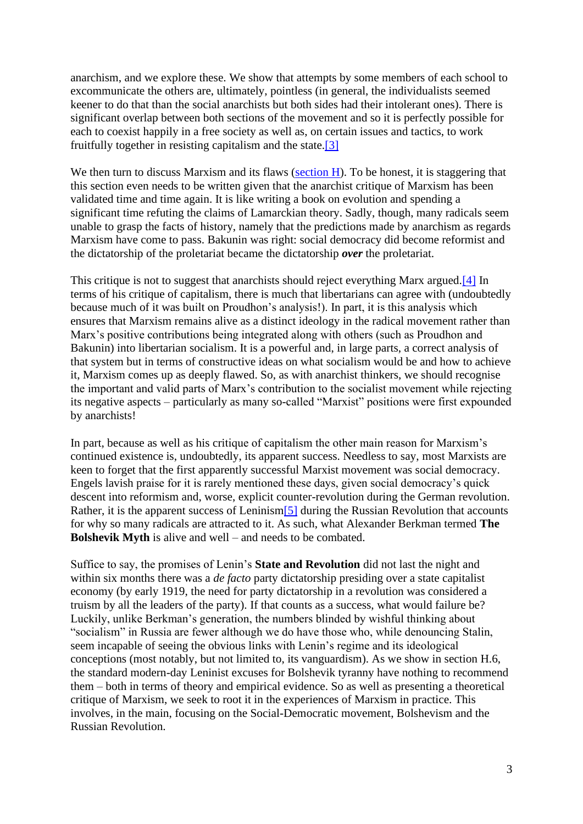anarchism, and we explore these. We show that attempts by some members of each school to excommunicate the others are, ultimately, pointless (in general, the individualists seemed keener to do that than the social anarchists but both sides had their intolerant ones). There is significant overlap between both sections of the movement and so it is perfectly possible for each to coexist happily in a free society as well as, on certain issues and tactics, to work fruitfully together in resisting capitalism and the state[.\[3\]](#page-6-2)

<span id="page-2-0"></span>We then turn to discuss Marxism and its flaws [\(section H\)](sectionH.html). To be honest, it is staggering that this section even needs to be written given that the anarchist critique of Marxism has been validated time and time again. It is like writing a book on evolution and spending a significant time refuting the claims of Lamarckian theory. Sadly, though, many radicals seem unable to grasp the facts of history, namely that the predictions made by anarchism as regards Marxism have come to pass. Bakunin was right: social democracy did become reformist and the dictatorship of the proletariat became the dictatorship *over* the proletariat.

<span id="page-2-1"></span>This critique is not to suggest that anarchists should reject everything Marx argued.<sup>[4]</sup> In terms of his critique of capitalism, there is much that libertarians can agree with (undoubtedly because much of it was built on Proudhon's analysis!). In part, it is this analysis which ensures that Marxism remains alive as a distinct ideology in the radical movement rather than Marx's positive contributions being integrated along with others (such as Proudhon and Bakunin) into libertarian socialism. It is a powerful and, in large parts, a correct analysis of that system but in terms of constructive ideas on what socialism would be and how to achieve it, Marxism comes up as deeply flawed. So, as with anarchist thinkers, we should recognise the important and valid parts of Marx's contribution to the socialist movement while rejecting its negative aspects – particularly as many so-called "Marxist" positions were first expounded by anarchists!

In part, because as well as his critique of capitalism the other main reason for Marxism's continued existence is, undoubtedly, its apparent success. Needless to say, most Marxists are keen to forget that the first apparently successful Marxist movement was social democracy. Engels lavish praise for it is rarely mentioned these days, given social democracy's quick descent into reformism and, worse, explicit counter-revolution during the German revolution. Rather, it is the apparent success of Leninism<sup>[5]</sup> during the Russian Revolution that accounts for why so many radicals are attracted to it. As such, what Alexander Berkman termed **The Bolshevik Myth** is alive and well – and needs to be combated.

<span id="page-2-2"></span>Suffice to say, the promises of Lenin's **State and Revolution** did not last the night and within six months there was a *de facto* party dictatorship presiding over a state capitalist economy (by early 1919, the need for party dictatorship in a revolution was considered a truism by all the leaders of the party). If that counts as a success, what would failure be? Luckily, unlike Berkman's generation, the numbers blinded by wishful thinking about "socialism" in Russia are fewer although we do have those who, while denouncing Stalin, seem incapable of seeing the obvious links with Lenin's regime and its ideological conceptions (most notably, but not limited to, its vanguardism). As we show in section H.6, the standard modern-day Leninist excuses for Bolshevik tyranny have nothing to recommend them – both in terms of theory and empirical evidence. So as well as presenting a theoretical critique of Marxism, we seek to root it in the experiences of Marxism in practice. This involves, in the main, focusing on the Social-Democratic movement, Bolshevism and the Russian Revolution.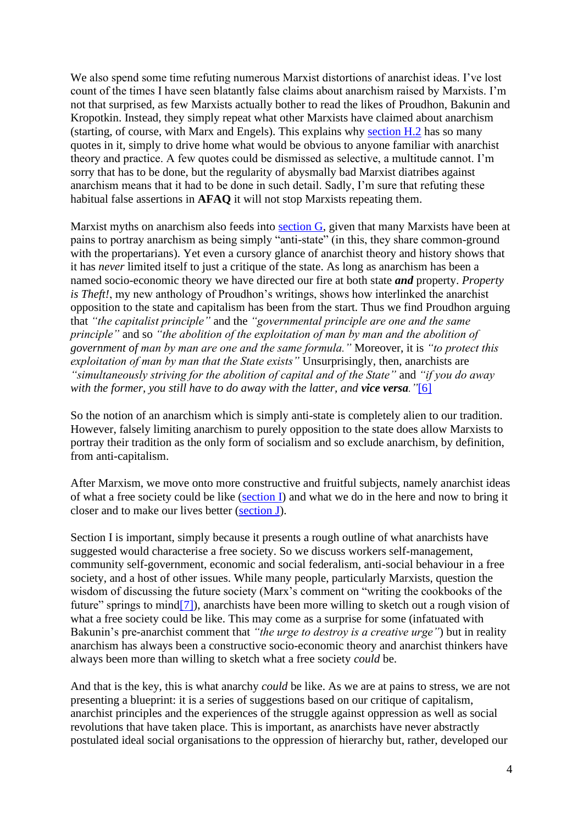We also spend some time refuting numerous Marxist distortions of anarchist ideas. I've lost count of the times I have seen blatantly false claims about anarchism raised by Marxists. I'm not that surprised, as few Marxists actually bother to read the likes of Proudhon, Bakunin and Kropotkin. Instead, they simply repeat what other Marxists have claimed about anarchism (starting, of course, with Marx and Engels). This explains why [section H.2](sectionH.html#sech2) has so many quotes in it, simply to drive home what would be obvious to anyone familiar with anarchist theory and practice. A few quotes could be dismissed as selective, a multitude cannot. I'm sorry that has to be done, but the regularity of abysmally bad Marxist diatribes against anarchism means that it had to be done in such detail. Sadly, I'm sure that refuting these habitual false assertions in **AFAQ** it will not stop Marxists repeating them.

Marxist myths on anarchism also feeds into [section G,](sectionG.html) given that many Marxists have been at pains to portray anarchism as being simply "anti-state" (in this, they share common-ground with the propertarians). Yet even a cursory glance of anarchist theory and history shows that it has *never* limited itself to just a critique of the state. As long as anarchism has been a named socio-economic theory we have directed our fire at both state *and* property. *Property is Theft!*, my new anthology of Proudhon's writings, shows how interlinked the anarchist opposition to the state and capitalism has been from the start. Thus we find Proudhon arguing that *"the capitalist principle"* and the *"governmental principle are one and the same principle"* and so *"the abolition of the exploitation of man by man and the abolition of government of man by man are one and the same formula."* Moreover, it is *"to protect this exploitation of man by man that the State exists"* Unsurprisingly, then, anarchists are *"simultaneously striving for the abolition of capital and of the State"* and *"if you do away with the former, you still have to do away with the latter, and vice versa."*[\[6\]](#page-6-5)

<span id="page-3-0"></span>So the notion of an anarchism which is simply anti-state is completely alien to our tradition. However, falsely limiting anarchism to purely opposition to the state does allow Marxists to portray their tradition as the only form of socialism and so exclude anarchism, by definition, from anti-capitalism.

After Marxism, we move onto more constructive and fruitful subjects, namely anarchist ideas of what a free society could be like [\(section I\)](sectionI.html) and what we do in the here and now to bring it closer and to make our lives better [\(section J\)](sectionJ.html).

<span id="page-3-1"></span>Section I is important, simply because it presents a rough outline of what anarchists have suggested would characterise a free society. So we discuss workers self-management, community self-government, economic and social federalism, anti-social behaviour in a free society, and a host of other issues. While many people, particularly Marxists, question the wisdom of discussing the future society (Marx's comment on "writing the cookbooks of the future" springs to min[d\[7\]\)](#page-6-6), anarchists have been more willing to sketch out a rough vision of what a free society could be like. This may come as a surprise for some (infatuated with Bakunin's pre-anarchist comment that *"the urge to destroy is a creative urge"*) but in reality anarchism has always been a constructive socio-economic theory and anarchist thinkers have always been more than willing to sketch what a free society *could* be.

And that is the key, this is what anarchy *could* be like. As we are at pains to stress, we are not presenting a blueprint: it is a series of suggestions based on our critique of capitalism, anarchist principles and the experiences of the struggle against oppression as well as social revolutions that have taken place. This is important, as anarchists have never abstractly postulated ideal social organisations to the oppression of hierarchy but, rather, developed our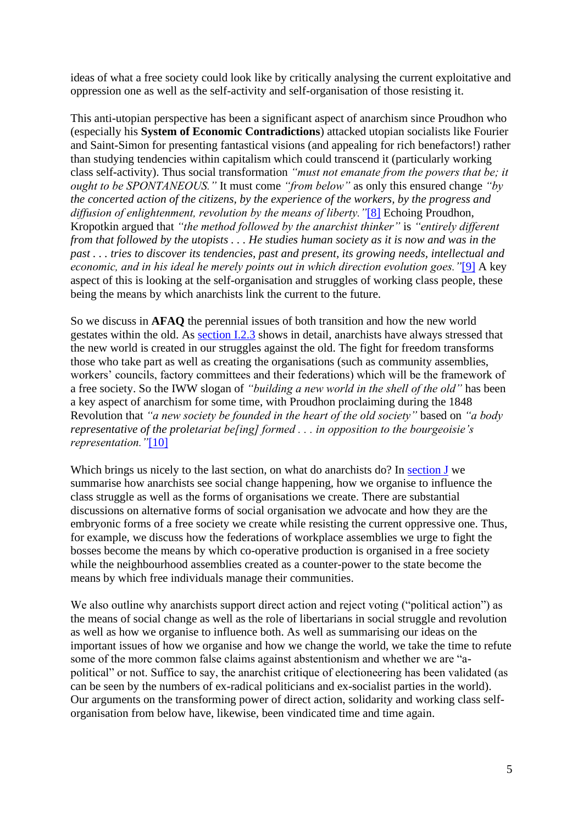ideas of what a free society could look like by critically analysing the current exploitative and oppression one as well as the self-activity and self-organisation of those resisting it.

<span id="page-4-0"></span>This anti-utopian perspective has been a significant aspect of anarchism since Proudhon who (especially his **System of Economic Contradictions**) attacked utopian socialists like Fourier and Saint-Simon for presenting fantastical visions (and appealing for rich benefactors!) rather than studying tendencies within capitalism which could transcend it (particularly working class self-activity). Thus social transformation *"must not emanate from the powers that be; it ought to be SPONTANEOUS."* It must come *"from below"* as only this ensured change *"by the concerted action of the citizens, by the experience of the workers, by the progress and diffusion of enlightenment, revolution by the means of liberty."*[\[8\]](#page-6-7) Echoing Proudhon, Kropotkin argued that *"the method followed by the anarchist thinker"* is *"entirely different from that followed by the utopists . . . He studies human society as it is now and was in the past . . . tries to discover its tendencies, past and present, its growing needs, intellectual and economic, and in his ideal he merely points out in which direction evolution goes."*[\[9\]](#page-6-8) A key aspect of this is looking at the self-organisation and struggles of working class people, these being the means by which anarchists link the current to the future.

<span id="page-4-1"></span>So we discuss in **AFAQ** the perennial issues of both transition and how the new world gestates within the old. As [section I.2.3](sectionI.html#seci23) shows in detail, anarchists have always stressed that the new world is created in our struggles against the old. The fight for freedom transforms those who take part as well as creating the organisations (such as community assemblies, workers' councils, factory committees and their federations) which will be the framework of a free society. So the IWW slogan of *"building a new world in the shell of the old"* has been a key aspect of anarchism for some time, with Proudhon proclaiming during the 1848 Revolution that *"a new society be founded in the heart of the old society"* based on *"a body representative of the proletariat be[ing] formed . . . in opposition to the bourgeoisie's representation."*[\[10\]](#page-6-9)

<span id="page-4-2"></span>Which brings us nicely to the last section, on what do anarchists do? In [section J](sectionJ.html) we summarise how anarchists see social change happening, how we organise to influence the class struggle as well as the forms of organisations we create. There are substantial discussions on alternative forms of social organisation we advocate and how they are the embryonic forms of a free society we create while resisting the current oppressive one. Thus, for example, we discuss how the federations of workplace assemblies we urge to fight the bosses become the means by which co-operative production is organised in a free society while the neighbourhood assemblies created as a counter-power to the state become the means by which free individuals manage their communities.

We also outline why anarchists support direct action and reject voting ("political action") as the means of social change as well as the role of libertarians in social struggle and revolution as well as how we organise to influence both. As well as summarising our ideas on the important issues of how we organise and how we change the world, we take the time to refute some of the more common false claims against abstentionism and whether we are "apolitical" or not. Suffice to say, the anarchist critique of electioneering has been validated (as can be seen by the numbers of ex-radical politicians and ex-socialist parties in the world). Our arguments on the transforming power of direct action, solidarity and working class selforganisation from below have, likewise, been vindicated time and time again.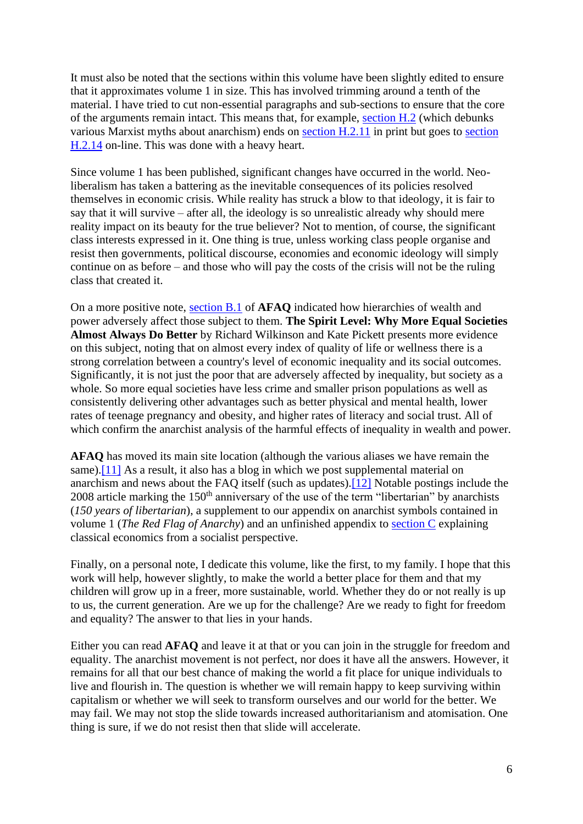It must also be noted that the sections within this volume have been slightly edited to ensure that it approximates volume 1 in size. This has involved trimming around a tenth of the material. I have tried to cut non-essential paragraphs and sub-sections to ensure that the core of the arguments remain intact. This means that, for example, [section H.2](sectionH.html#sech2) (which debunks various Marxist myths about anarchism) ends on [section H.2.11](sectionH.html#sech211) in print but goes to [section](sectionH.html#sech214)  [H.2.14](sectionH.html#sech214) on-line. This was done with a heavy heart.

Since volume 1 has been published, significant changes have occurred in the world. Neoliberalism has taken a battering as the inevitable consequences of its policies resolved themselves in economic crisis. While reality has struck a blow to that ideology, it is fair to say that it will survive – after all, the ideology is so unrealistic already why should mere reality impact on its beauty for the true believer? Not to mention, of course, the significant class interests expressed in it. One thing is true, unless working class people organise and resist then governments, political discourse, economies and economic ideology will simply continue on as before – and those who will pay the costs of the crisis will not be the ruling class that created it.

On a more positive note, [section B.1](sectionB.html#secb1) of **AFAQ** indicated how hierarchies of wealth and power adversely affect those subject to them. **The Spirit Level: Why More Equal Societies Almost Always Do Better** by Richard Wilkinson and Kate Pickett presents more evidence on this subject, noting that on almost every index of quality of life or wellness there is a strong correlation between a country's level of economic inequality and its social outcomes. Significantly, it is not just the poor that are adversely affected by inequality, but society as a whole. So more equal societies have less crime and smaller prison populations as well as consistently delivering other advantages such as better physical and mental health, lower rates of teenage pregnancy and obesity, and higher rates of literacy and social trust. All of which confirm the anarchist analysis of the harmful effects of inequality in wealth and power.

<span id="page-5-1"></span><span id="page-5-0"></span>**AFAQ** has moved its main site location (although the various aliases we have remain the same).<sup>[11]</sup> As a result, it also has a blog in which we post supplemental material on anarchism and news about the FAQ itself (such as updates)[.\[12\]](#page-6-11) Notable postings include the 2008 article marking the  $150<sup>th</sup>$  anniversary of the use of the term "libertarian" by anarchists (*150 years of libertarian*), a supplement to our appendix on anarchist symbols contained in volume 1 (*The Red Flag of Anarchy*) and an unfinished appendix to [section C](sectionC.html) explaining classical economics from a socialist perspective.

Finally, on a personal note, I dedicate this volume, like the first, to my family. I hope that this work will help, however slightly, to make the world a better place for them and that my children will grow up in a freer, more sustainable, world. Whether they do or not really is up to us, the current generation. Are we up for the challenge? Are we ready to fight for freedom and equality? The answer to that lies in your hands.

Either you can read **AFAQ** and leave it at that or you can join in the struggle for freedom and equality. The anarchist movement is not perfect, nor does it have all the answers. However, it remains for all that our best chance of making the world a fit place for unique individuals to live and flourish in. The question is whether we will remain happy to keep surviving within capitalism or whether we will seek to transform ourselves and our world for the better. We may fail. We may not stop the slide towards increased authoritarianism and atomisation. One thing is sure, if we do not resist then that slide will accelerate.